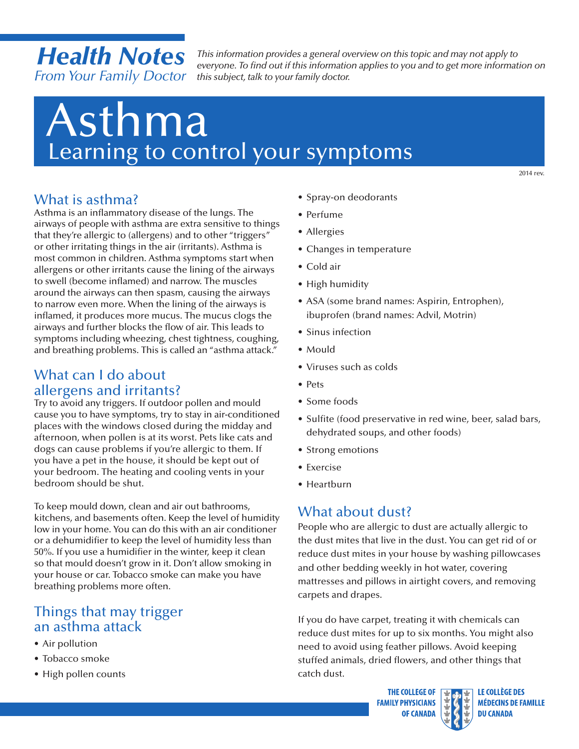## *Health Notes From Your Family Doctor*

*This information provides a general overview on this topic and may not apply to everyone. To find out if this information applies to you and to get more information on this subject, talk to your family doctor.*

# Asthma Learning to control your symptoms

2014 rev.

### What is asthma?

Asthma is an inflammatory disease of the lungs. The airways of people with asthma are extra sensitive to things that they're allergic to (allergens) and to other "triggers" or other irritating things in the air (irritants). Asthma is most common in children. Asthma symptoms start when allergens or other irritants cause the lining of the airways to swell (become inflamed) and narrow. The muscles around the airways can then spasm, causing the airways to narrow even more. When the lining of the airways is inflamed, it produces more mucus. The mucus clogs the airways and further blocks the flow of air. This leads to symptoms including wheezing, chest tightness, coughing, and breathing problems. This is called an "asthma attack."

### What can I do about allergens and irritants?

Try to avoid any triggers. If outdoor pollen and mould cause you to have symptoms, try to stay in air-conditioned places with the windows closed during the midday and afternoon, when pollen is at its worst. Pets like cats and dogs can cause problems if you're allergic to them. If you have a pet in the house, it should be kept out of your bedroom. The heating and cooling vents in your bedroom should be shut.

To keep mould down, clean and air out bathrooms, kitchens, and basements often. Keep the level of humidity low in your home. You can do this with an air conditioner or a dehumidifier to keep the level of humidity less than 50%. If you use a humidifier in the winter, keep it clean so that mould doesn't grow in it. Don't allow smoking in your house or car. Tobacco smoke can make you have breathing problems more often.

### Things that may trigger an asthma attack

- Air pollution
- Tobacco smoke
- High pollen counts
- Spray-on deodorants
- Perfume
- Allergies
- Changes in temperature
- Cold air
- High humidity
- ASA (some brand names: Aspirin, Entrophen), ibuprofen (brand names: Advil, Motrin)
- Sinus infection
- • Mould
- • Viruses such as colds
- Pets
- Some foods
- Sulfite (food preservative in red wine, beer, salad bars, dehydrated soups, and other foods)
- Strong emotions
- Exercise
- • Heartburn

### What about dust?

People who are allergic to dust are actually allergic to the dust mites that live in the dust. You can get rid of or reduce dust mites in your house by washing pillowcases and other bedding weekly in hot water, covering mattresses and pillows in airtight covers, and removing carpets and drapes.

If you do have carpet, treating it with chemicals can reduce dust mites for up to six months. You might also need to avoid using feather pillows. Avoid keeping stuffed animals, dried flowers, and other things that catch dust.

> **THE COLLEGE OF FAMILY PHYSICIANS OF CANADA**

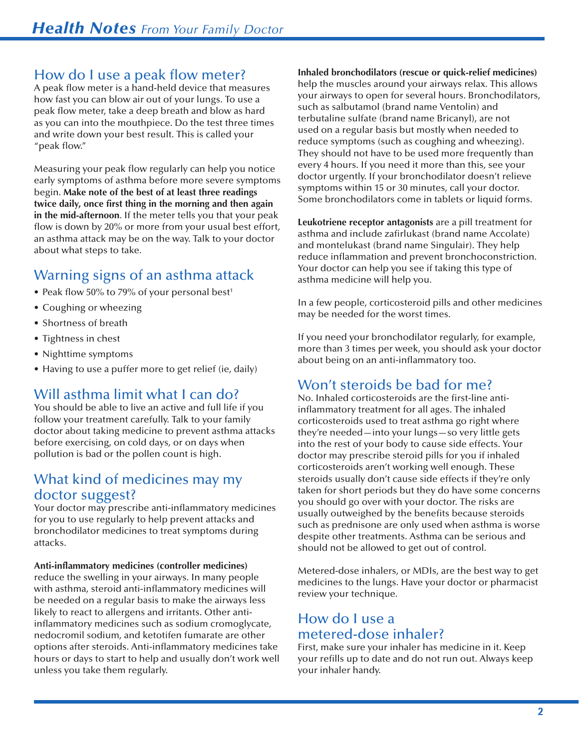### How do I use a peak flow meter?

A peak flow meter is a hand-held device that measures how fast you can blow air out of your lungs. To use a peak flow meter, take a deep breath and blow as hard as you can into the mouthpiece. Do the test three times and write down your best result. This is called your "peak flow."

 Measuring your peak flow regularly can help you notice early symptoms of asthma before more severe symptoms begin. **Make note of the best of at least three readings twice daily, once first thing in the morning and then again in the mid-afternoon**. If the meter tells you that your peak flow is down by 20% or more from your usual best effort, an asthma attack may be on the way. Talk to your doctor about what steps to take.

### Warning signs of an asthma attack

- Peak flow 50% to 79% of your personal best<sup>1</sup>
- Coughing or wheezing
- Shortness of breath
- • Tightness in chest
- • Nighttime symptoms
- Having to use a puffer more to get relief (ie, daily)

### Will asthma limit what I can do?

You should be able to live an active and full life if you follow your treatment carefully. Talk to your family doctor about taking medicine to prevent asthma attacks before exercising, on cold days, or on days when pollution is bad or the pollen count is high.

### What kind of medicines may my doctor suggest?

Your doctor may prescribe anti-inflammatory medicines for you to use regularly to help prevent attacks and bronchodilator medicines to treat symptoms during attacks.

#### **Anti-inflammatory medicines (controller medicines)**

reduce the swelling in your airways. In many people with asthma, steroid anti-inflammatory medicines will be needed on a regular basis to make the airways less likely to react to allergens and irritants. Other antiinflammatory medicines such as sodium cromoglycate, nedocromil sodium, and ketotifen fumarate are other options after steroids. Anti-inflammatory medicines take hours or days to start to help and usually don't work well unless you take them regularly.

 such as salbutamol (brand name Ventolin) and Some bronchodilators come in tablets or liquid forms. **Inhaled bronchodilators (rescue or quick-relief medicines)**  help the muscles around your airways relax. This allows your airways to open for several hours. Bronchodilators, terbutaline sulfate (brand name Bricanyl), are not used on a regular basis but mostly when needed to reduce symptoms (such as coughing and wheezing). They should not have to be used more frequently than every 4 hours. If you need it more than this, see your doctor urgently. If your bronchodilator doesn't relieve symptoms within 15 or 30 minutes, call your doctor.

 and montelukast (brand name Singulair). They help **Leukotriene receptor antagonists** are a pill treatment for asthma and include zafirlukast (brand name Accolate) reduce inflammation and prevent bronchoconstriction. Your doctor can help you see if taking this type of asthma medicine will help you.

In a few people, corticosteroid pills and other medicines may be needed for the worst times.

If you need your bronchodilator regularly, for example, more than 3 times per week, you should ask your doctor about being on an anti-inflammatory too.

### Won't steroids be bad for me?

 No. Inhaled corticosteroids are the first-line antiinflammatory treatment for all ages. The inhaled corticosteroids used to treat asthma go right where they're needed—into your lungs—so very little gets into the rest of your body to cause side effects. Your doctor may prescribe steroid pills for you if inhaled corticosteroids aren't working well enough. These steroids usually don't cause side effects if they're only taken for short periods but they do have some concerns you should go over with your doctor. The risks are usually outweighed by the benefits because steroids such as prednisone are only used when asthma is worse despite other treatments. Asthma can be serious and should not be allowed to get out of control.

 Metered-dose inhalers, or MDIs, are the best way to get medicines to the lungs. Have your doctor or pharmacist review your technique.

### How do I use a metered-dose inhaler?

First, make sure your inhaler has medicine in it. Keep your refills up to date and do not run out. Always keep your inhaler handy.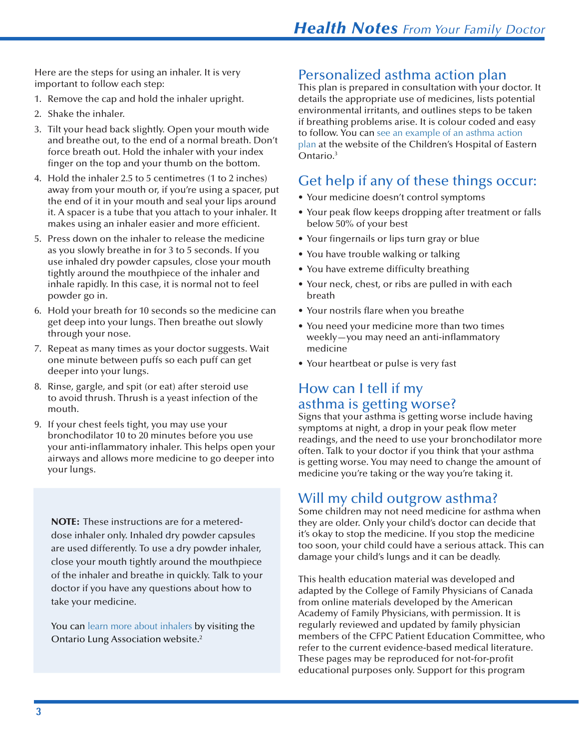Here are the steps for using an inhaler. It is very important to follow each step:

- 1. Remove the cap and hold the inhaler upright.
- 2. Shake the inhaler.
- force breath out. Hold the inhaler with your index 3. Tilt your head back slightly. Open your mouth wide and breathe out, to the end of a normal breath. Don't finger on the top and your thumb on the bottom.
- 4. Hold the inhaler 2.5 to 5 centimetres (1 to 2 inches) away from your mouth or, if you're using a spacer, put the end of it in your mouth and seal your lips around it. A spacer is a tube that you attach to your inhaler. It makes using an inhaler easier and more efficient.
- 5. Press down on the inhaler to release the medicine as you slowly breathe in for 3 to 5 seconds. If you use inhaled dry powder capsules, close your mouth tightly around the mouthpiece of the inhaler and inhale rapidly. In this case, it is normal not to feel powder go in.
- 6. Hold your breath for 10 seconds so the medicine can get deep into your lungs. Then breathe out slowly through your nose.
- 7. Repeat as many times as your doctor suggests. Wait one minute between puffs so each puff can get deeper into your lungs.
- 8. Rinse, gargle, and spit (or eat) after steroid use to avoid thrush. Thrush is a yeast infection of the mouth.
- 9. If your chest feels tight, you may use your bronchodilator 10 to 20 minutes before you use your anti-inflammatory inhaler. This helps open your airways and allows more medicine to go deeper into your lungs.

NOTE: These instructions are for a metereddose inhaler only. Inhaled dry powder capsules are used differently. To use a dry powder inhaler, close your mouth tightly around the mouthpiece of the inhaler and breathe in quickly. Talk to your doctor if you have any questions about how to take your medicine.

You can learn more about inhalers by visiting the Ontario Lung Association website.<sup>2</sup>

### Personalized asthma action plan

 plan at the website of the Children's Hospital of Eastern This plan is prepared in consultation with your doctor. It details the appropriate use of medicines, lists potential environmental irritants, and outlines steps to be taken if breathing problems arise. It is colour coded and easy to follow. You can see an example of an asthma action Ontario.<sup>3</sup>

### Get help if any of these things occur:

- Your medicine doesn't control symptoms
- Your peak flow keeps dropping after treatment or falls below 50% of your best
- Your fingernails or lips turn gray or blue
- You have trouble walking or talking
- You have extreme difficulty breathing
- Your neck, chest, or ribs are pulled in with each breath
- Your nostrils flare when you breathe
- You need your medicine more than two times weekly—you may need an anti-inflammatory medicine
- Your heartbeat or pulse is very fast

### How can I tell if my asthma is getting worse?

 Signs that your asthma is getting worse include having symptoms at night, a drop in your peak flow meter readings, and the need to use your bronchodilator more often. Talk to your doctor if you think that your asthma is getting worse. You may need to change the amount of medicine you're taking or the way you're taking it.

### Will my child outgrow asthma?

 Some children may not need medicine for asthma when they are older. Only your child's doctor can decide that it's okay to stop the medicine. If you stop the medicine too soon, your child could have a serious attack. This can damage your child's lungs and it can be deadly.

 adapted by the College of Family Physicians of Canada members of the CFPC Patient Education Committee, who educational purposes only. Support for this programThis health education material was developed and from online materials developed by the American Academy of Family Physicians, with permission. It is regularly reviewed and updated by family physician refer to the current evidence-based medical literature. These pages may be reproduced for not-for-profit